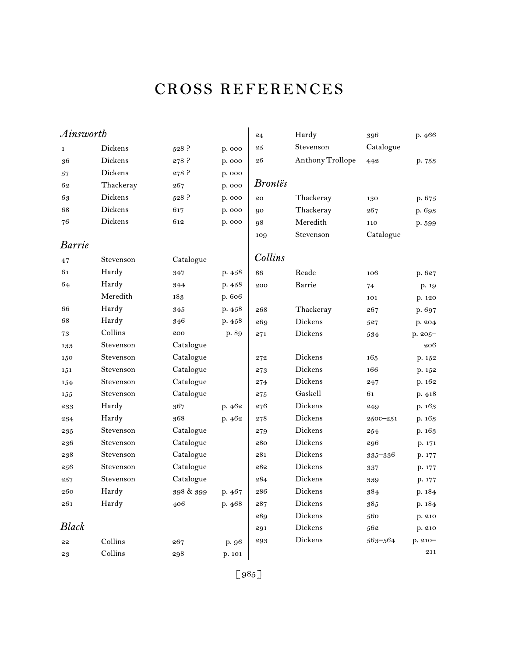# cross references

| Ainsworth     |           |           |        | 24             | Hardy            | 396         | p. 466  |
|---------------|-----------|-----------|--------|----------------|------------------|-------------|---------|
| $\mathbf 1$   | Dickens   | $528$ ?   | p. 000 | 25             | Stevenson        | Catalogue   |         |
| 36            | Dickens   | 278 ?     | p. 000 | 26             | Anthony Trollope | 442         | p. 753  |
| 57            | Dickens   | 278 ?     | p. 000 |                |                  |             |         |
| 62            | Thackeray | 267       | p. 000 | <b>Brontës</b> |                  |             |         |
| 63            | Dickens   | 528 ?     | p. 000 | 20             | Thackeray        | 130         | p. 675  |
| 68            | Dickens   | 617       | p. 000 | 90             | Thackeray        | 267         | p. 693  |
| 76            | Dickens   | 612       | p. 000 | 98             | Meredith         | 110         | p. 599  |
|               |           |           |        | 109            | Stevenson        | Catalogue   |         |
| <b>Barrie</b> |           |           |        |                |                  |             |         |
| 47            | Stevenson | Catalogue |        | Collins        |                  |             |         |
| 61            | Hardy     | 347       | p.458  | 86             | Reade            | 106         | p. 627  |
| 64            | Hardy     | 344       | p. 458 | 200            | Barrie           | 74          | p. 19   |
|               | Meredith  | 183       | p. 606 |                |                  | 101         | p. 120  |
| 66            | Hardy     | 345       | p. 458 | 268            | Thackeray        | 267         | p. 697  |
| 68            | Hardy     | 346       | p.458  | 269            | Dickens          | 527         | p. 204  |
| 73            | Collins   | 200       | p. 89  | 271            | Dickens          | 534         | p. 205- |
| 133           | Stevenson | Catalogue |        |                |                  |             | 206     |
| 150           | Stevenson | Catalogue |        | 272            | Dickens          | 165         | p. 152  |
| 151           | Stevenson | Catalogue |        | 273            | Dickens          | 166         | p. 152  |
| 154           | Stevenson | Catalogue |        | 274            | Dickens          | 247         | p. 162  |
| 155           | Stevenson | Catalogue |        | 275            | Gaskell          | 61          | p. 418  |
| 233           | Hardy     | 367       | p. 462 | 276            | Dickens          | 249         | p. 163  |
| 234           | Hardy     | 368       | p. 462 | 278            | Dickens          | 2500-251    | p. 163  |
| 235           | Stevenson | Catalogue |        | 279            | Dickens          | 254         | p. 163  |
| 236           | Stevenson | Catalogue |        | 280            | Dickens          | 296         | p. 171  |
| 238           | Stevenson | Catalogue |        | 281            | Dickens          | $335 - 336$ | p. 177  |
| 256           | Stevenson | Catalogue |        | 282            | Dickens          | 337         | p. 177  |
| 257           | Stevenson | Catalogue |        | 284            | Dickens          | 339         | p. 177  |
| 260           | Hardy     | 398 & 399 | p. 467 | 286            | Dickens          | 384         | p. 184  |
| 261           | Hardy     | 406       | p. 468 | 287            | Dickens          | 385         | p. 184  |
|               |           |           |        | 289            | Dickens          | 560         | p. 210  |
| <b>Black</b>  |           |           |        | 291            | Dickens          | 562         | p. 210  |
| 22            | Collins   | 267       | p. 96  | 293            | Dickens          | 563-564     | p. 210- |
| 23            | Collins   | 298       | p. 101 |                |                  |             | 211     |
|               |           |           |        |                |                  |             |         |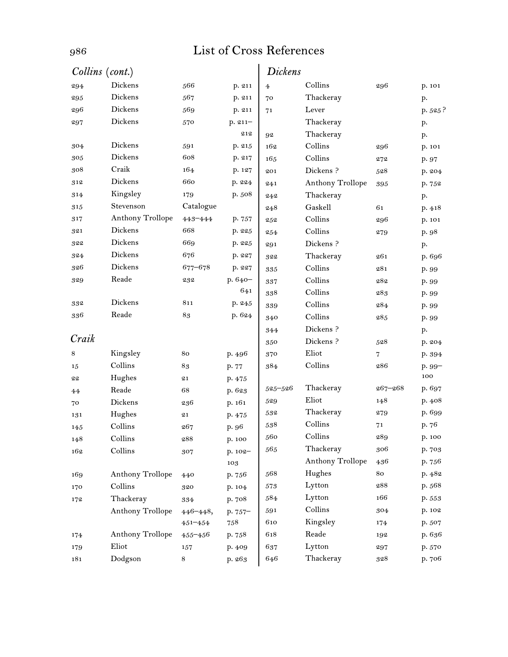| Collins (cont.) |                  |              |            | <b>Dickens</b> |                         |             |         |
|-----------------|------------------|--------------|------------|----------------|-------------------------|-------------|---------|
| 294             | Dickens          | 566          | p. 211     | $\overline{4}$ | Collins                 | 296         | p. 101  |
| 295             | Dickens          | 567          | p. 211     | 70             | Thackeray               |             | p.      |
| 296             | Dickens          | 569          | p. 211     | 71             | Lever                   |             | p. 525? |
| 297             | Dickens          | 570          | $p. 211 -$ |                | Thackeray               |             | p.      |
|                 |                  |              | 212        | 92             | Thackeray               |             | p.      |
| 304             | Dickens          | 591          | p. 215     | 162            | Collins                 | 296         | p. 101  |
| 305             | Dickens          | 608          | p. 217     | 165            | Collins                 | 272         | p. 97   |
| 308             | Craik            | 164          | p. 127     | 201            | Dickens?                | 528         | p. 204  |
| 312             | Dickens          | 660          | p. 224     | 241            | <b>Anthony Trollope</b> | 395         | p. 752  |
| 314             | Kingsley         | 179          | p. 508     | 242            | Thackeray               |             | p.      |
| 315             | Stevenson        | Catalogue    |            | 248            | Gaskell                 | 61          | p.418   |
| 317             | Anthony Trollope | 443-444      | p. 757     | 252            | Collins                 | 296         | p. 101  |
| 321             | Dickens          | 668          | p. 225     | 254            | Collins                 | 279         | p. 98   |
| 322             | Dickens          | 669          | p. 225     | 291            | Dickens?                |             | p.      |
| 324             | Dickens          | 676          | p. 227     | 322            | Thackeray               | 261         | p. 696  |
| 326             | Dickens          | $677 - 678$  | p. 227     | 335            | Collins                 | 281         | p. 99   |
| 329             | Reade            | 232          | p. 640-    | 337            | Collins                 | 282         | p. 99   |
|                 |                  |              | 641        | 338            | Collins                 | 283         | p. 99   |
| 332             | Dickens          | 811          | p. 245     | 339            | Collins                 | 284         | p. 99   |
| 336             | Reade            | 83           | p. 624     | 340            | Collins                 | 285         | p. 99   |
|                 |                  |              |            | 344            | Dickens?                |             | p.      |
| Craik           |                  |              |            | 350            | Dickens?                | 528         | p. 204  |
| 8               | Kingsley         | 80           | p. 496     | 370            | Eliot                   | 7           | p. 394  |
| 15              | Collins          | 83           | p. 77      | 384            | Collins                 | 286         | $p.99-$ |
| 22              | Hughes           | 21           | p. 475     |                |                         |             | 100     |
| 44              | Reade            | 68           | p. 623     | $525 - 526$    | Thackeray               | $267 - 268$ | p. 697  |
| 70              | Dickens          | 236          | p. 161     | 529            | Eliot                   | 148         | p. 408  |
| 131             | Hughes           | 21           | p. 475     | 532            | Thackeray               | 279         | p. 699  |
| 145             | Collins          | 267          | p. 96      | 538            | Collins                 | 71          | p. 76   |
| 148             | Collins          | 288          | p. 100     | 560            | Collins                 | 289         | p. 100  |
| 162             | Collins          | 307          | p. 102-    | 565            | Thackeray               | 306         | p. 703  |
|                 |                  |              | 103        |                | Anthony Trollope        | 436         | p. 756  |
| 169             | Anthony Trollope | 440          | p. 756     | 568            | Hughes                  | 80          | p. 482  |
| 170             | Collins          | 320          | p. 104     | $573\,$        | Lytton                  | 288         | p. 568  |
| 172             | Thackeray        | 334          | p. 708     | 584            | Lytton                  | 166         | p. 553  |
|                 | Anthony Trollope | $446 - 448,$ | p. 757-    | 591            | Collins                 | 304         | p. 102  |
|                 |                  | $451 - 454$  | $758\,$    | 610            | Kingsley                | 174         | p. 507  |
| 174             | Anthony Trollope | $455 - 456$  | p. 758     | 618            | Reade                   | 192         | p. 636  |
| 179             | Eliot            | 157          | p. 409     | 637            | Lytton                  | 297         | p. 570  |
| 181             | Dodgson          | 8            | p. 263     | 646            | Thackeray               | 328         | p. 706  |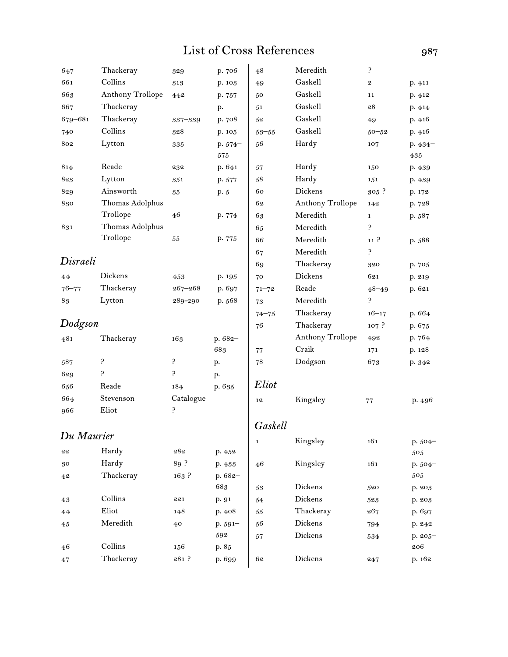| 647        | Thackeray        | 329              | p. 706   | 48          | Meredith         | ę.               |           |
|------------|------------------|------------------|----------|-------------|------------------|------------------|-----------|
| 661        | Collins          | 313              | p. 103   | 49          | Gaskell          | 2                | p. 411    |
| 663        | Anthony Trollope | 442              | p. 757   | 50          | Gaskell          | 11               | p. 412    |
| 667        | Thackeray        |                  | p.       | 51          | Gaskell          | 28               | p. 414    |
| 679-681    | Thackeray        | $337 - 339$      | p. 708   | 52          | Gaskell          | 49               | p.416     |
| 740        | Collins          | 328              | p. 105   | $53 - 55$   | Gaskell          | $50 - 52$        | p. 416    |
| 802        | Lytton           | 335              | $p.574-$ | 56          | Hardy            | 107              | $p.434-$  |
|            |                  |                  | 575      |             |                  |                  | 435       |
| 814        | Reade            | 232              | p. 641   | 57          | Hardy            | 150              | p. 439    |
| 823        | Lytton           | 351              | p. 577   | 58          | Hardy            | 151              | p. 439    |
| 829        | Ainsworth        | 35               | p. 5     | 60          | Dickens          | $305$ ?          | p. 172    |
| 830        | Thomas Adolphus  |                  |          | 62          | Anthony Trollope | 142              | p. 728    |
|            | Trollope         | 46               | p. 774   | 63          | Meredith         | $\mathbf{1}$     | p. 587    |
| 831        | Thomas Adolphus  |                  |          | 65          | Meredith         | 5.               |           |
|            | Trollope         | 55               | p. 775   | 66          | Meredith         | 11 <sup>2</sup>  | p. 588    |
|            |                  |                  |          | 67          | Meredith         | 5.               |           |
| Disraeli   |                  |                  |          | 69          | Thackeray        | 320              | p. 705    |
| 44         | Dickens          | 453              | p. 195   | 70          | <b>Dickens</b>   | 621              | p. 219    |
| $76 - 77$  | Thackeray        | $267 - 268$      | p. 697   | $71 - 72$   | Reade            | $48 - 49$        | p. 621    |
| 83         | Lytton           | 289-290          | p. 568   | 73          | Meredith         | 5.               |           |
|            |                  |                  |          | $74 - 75$   | Thackeray        | $16 - 17$        | p. 664    |
| Dodgson    |                  |                  |          | 76          | Thackeray        | 107 <sup>2</sup> | p. 675    |
| 481        | Thackeray        | 163              | p. 682-  |             | Anthony Trollope | 492              | p. 764    |
|            |                  |                  | 683      | 77          | Craik            | 171              | p. 128    |
| 587        | ę.               | ç.               | p.       | 78          | Dodgson          | 673              | p. 342    |
| 629        | م:               | م:               | p.       |             |                  |                  |           |
| 656        | Reade            | 184              | p. 635   | Eliot       |                  |                  |           |
| 664        | Stevenson        | Catalogue        |          | 12          | Kingsley         | 77               | p. 496    |
| 966        | Eliot            | ę.               |          |             |                  |                  |           |
|            |                  |                  |          | Gaskell     |                  |                  |           |
| Du Maurier |                  |                  |          | $\mathbf 1$ | Kingsley         | 161              | $p.504-$  |
| ${\bf 22}$ | Hardy            | 282              | p. 452   |             |                  |                  | $505\,$   |
| 30         | Hardy            | 89 ?             | p. 433   | 46          | Kingsley         | 161              | p. 504-   |
| 42         | Thackeray        | 163 <sup>5</sup> | p. 682-  |             |                  |                  | 505       |
|            |                  |                  | 683      | $53\,$      | Dickens          | 520              | p. 203    |
| 43         | Collins          | 221              | p. 91    | 54          | Dickens          | 523              | p. 203    |
| 44         | Eliot            | 148              | p. 408   | $55\,$      | Thackeray        | 267              | p. 697    |
| $45\,$     | Meredith         | 40               | p. 591-  | 56          | Dickens          | 794              | p. 242    |
|            |                  |                  | 592      | 57          | Dickens          | $534\,$          | $p.205 -$ |
| 46         | Collins          | 156              | p. 85    |             |                  |                  | 206       |
| 47         | Thackeray        | 281 ?            | p. 699   | 62          | Dickens          | 247              | p. 162    |
|            |                  |                  |          |             |                  |                  |           |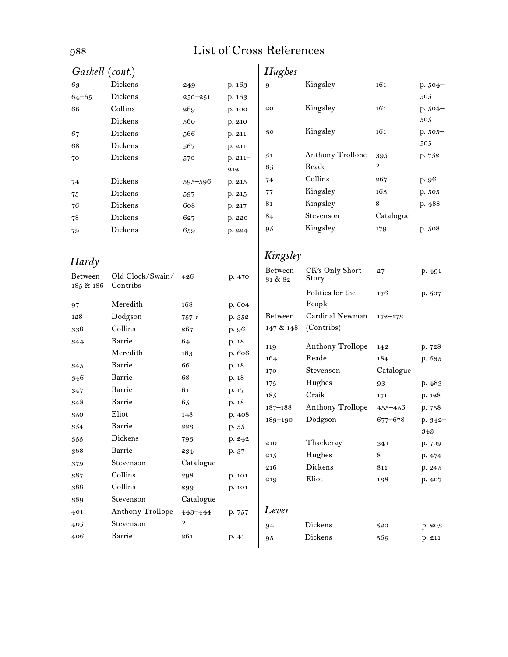| Gaskell (cont.)      |                              |             |            | Hughes      |                         |             |          |
|----------------------|------------------------------|-------------|------------|-------------|-------------------------|-------------|----------|
| 63                   | Dickens                      | 249         | p. 163     | 9           | Kingsley                | 161         | p. 504-  |
| $64 - 65$            | Dickens                      | $250 - 251$ | p. 163     |             |                         |             | 505      |
| 66                   | Collins                      | 289         | p. 100     | 20          | Kingsley                | 161         | $p.504-$ |
|                      | Dickens                      | 560         | p. 210     |             |                         |             | 505      |
| 67                   | Dickens                      | 566         | p. 211     | 30          | Kingsley                | 161         | p. 505-  |
| 68                   | Dickens                      | 567         | p. 211     |             |                         |             | 505      |
| 70                   | Dickens                      | 570         | $p. 211 -$ | 51          | Anthony Trollope        | 395         | p. 752   |
|                      |                              |             | 212        | 65          | Reade                   | 5.          |          |
| 74                   | Dickens                      | 595-596     | p. 215     | 74          | Collins                 | 267         | p. 96    |
| 75                   | Dickens                      | 597         | p. 215     | 77          | Kingsley                | 163         | p. 505   |
| 76                   | Dickens                      | 608         | p. 217     | 81          | Kingsley                | 8           | p. 488   |
| 78                   | Dickens                      | 627         | p. 220     | 84          | Stevenson               | Catalogue   |          |
| 79                   | Dickens                      | 659         | p. 224     | 95          | Kingsley                | 179         | p. 508   |
|                      |                              |             |            | Kingsley    |                         |             |          |
| Hardy                |                              |             |            | Between     | CK's Only Short         | 27          | p. 491   |
| Between<br>185 & 186 | Old Clock/Swain/<br>Contribs | 426         | p. 470     | 81 & 82     | Story                   |             |          |
|                      |                              |             |            |             | Politics for the        | 176         | p. 507   |
| 97                   | Meredith                     | 168         | p. 604     |             | People                  |             |          |
| 128                  | Dodgson                      | 757 ?       | p. 352     | Between     | Cardinal Newman         | $172 - 173$ |          |
| 338                  | Collins                      | 267         | p. 96      | 147 & 148   | (Contribs)              |             |          |
| 344                  | Barrie                       | 64          | p. 18      | 119         | Anthony Trollope        | 142         | p. 728   |
|                      | Meredith                     | 183         | p. 606     | 164         | Reade                   | 184         | p. 635   |
| 345                  | Barrie                       | 66          | p. 18      | 170         | Stevenson               | Catalogue   |          |
| 346                  | Barrie                       | 68          | p. 18      | 175         | Hughes                  | 93          | p. 483   |
| 347                  | Barrie                       | 61          | p. 17      | 185         | Craik                   | 171         | p. 128   |
| 348                  | Barrie                       | 65          | p. 18      | $187 - 188$ | <b>Anthony Trollope</b> | $455 - 456$ | p. 758   |
| 350                  | Eliot                        | 148         | p. 408     | $189 - 190$ | Dodgson                 | 677-678     | p. 342-  |
| 354                  | Barrie                       | 223         | p. 35      |             |                         |             | 343      |
| $355\,$              | Dickens                      | 793         | p. 242     | 210         | Thackeray               | 341         | p. 709   |
| 368                  | Barrie                       | 234         | p. 37      | 215         | Hughes                  | $\,8\,$     | p. 474   |
| 379                  | Stevenson                    | Catalogue   |            | 216         | Dickens                 | 811         | p. 245   |
| 387                  | Collins                      | 298         | p. 101     | 219         | Eliot                   | 138         | p. 407   |
| 388                  | Collins                      | 299         | p. 101     |             |                         |             |          |
| 389                  | Stevenson                    | Catalogue   |            |             |                         |             |          |
| 401                  | Anthony Trollope             | 443-444     | p. 757     | Lever       |                         |             |          |
| 405                  | Stevenson                    | ç.          |            | 94          | Dickens                 | 520         | p. 203   |
| 406                  | Barrie                       | 261         | p. 41      | 95          | Dickens                 | 569         | p. 211   |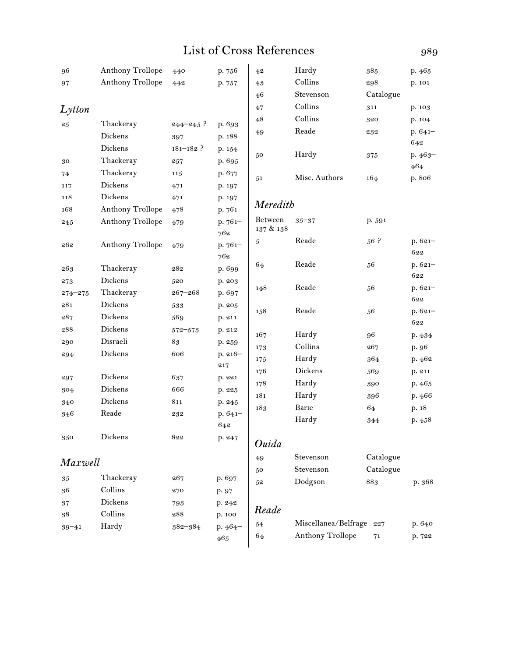| 96                 | <b>Anthony Trollope</b> | 440           | p. 756           | 4 <sup>2</sup>       | Hardy                | 385             | p. 465         |
|--------------------|-------------------------|---------------|------------------|----------------------|----------------------|-----------------|----------------|
| 97                 | Anthony Trollope        | 442           | p. 757           | 43                   | Collins              | 298             | p. 101         |
|                    |                         |               |                  | 46                   | Stevenson            | Catalogue       |                |
| $L$ <i>ytton</i>   |                         |               |                  | 47                   | Collins              | 311             | p. 103         |
| 25                 | Thackeray               | $244 - 245$ ? | p. 693           | 48                   | Collins              | 320             | p. 104         |
|                    | Dickens                 | 397           | p. 188           | 49                   | Reade                | 232             | $p.641-$       |
|                    | Dickens                 | $181 - 182$ ? | p. 154           |                      |                      |                 | 642            |
| 30                 | Thackeray               | 257           | p. 695           | 50                   | Hardy                | 375             | $p.463-$       |
| 74                 | Thackeray               | 115           | p. 677           |                      |                      |                 | 464            |
| 117                | Dickens                 | 471           | p. 197           | 51                   | Misc. Authors        | 164             | p. 806         |
| 118                | Dickens                 | 471           | p. 197           |                      |                      |                 |                |
| 168                | <b>Anthony Trollope</b> | 478           | p. 761           | Meredith             |                      |                 |                |
| 245                | <b>Anthony Trollope</b> | 479           | p. 761-<br>762   | Between<br>137 & 138 | $35 - 37$            | p. 591          |                |
| 262                | <b>Anthony Trollope</b> | 479           | p. 761-<br>762   | 5                    | Reade                | 56 <sup>5</sup> | p. 621-<br>622 |
| 263                | Thackeray               | 282           |                  | 64                   | Reade                | 56              | p. 621-        |
|                    | Dickens                 | 520           | p. 699           |                      |                      |                 | 622            |
| 273<br>$274 - 275$ | Thackeray               | $267 - 268$   | p. 203<br>p. 697 | 148                  | Reade                | 56              | $p.621-$       |
| 281                | Dickens                 | 533           | p. 205           |                      |                      |                 | 622            |
| 287                | Dickens                 | 569           | p. 211           | 158                  | Reade                | 56              | $p.621-$       |
| 288                | Dickens                 | $572 - 573$   | p. 212           |                      |                      |                 | 622            |
| 290                | Disraeli                | 83            | p. 259           | 167                  | Hardy                | 96              | p. 434         |
| 294                | Dickens                 | 606           | $p. 216-$        | 173                  | Collins              | 267             | p. 96          |
|                    |                         |               | 217              | 175                  | Hardy                | 364             | p. 462         |
| 297                | Dickens                 | 637           | p. 221           | 176                  | Dickens              | 569             | p. 211         |
| 304                | Dickens                 | 666           | p. 225           | 178                  | Hardy                | 390             | p. 465         |
| 340                | Dickens                 | 811           | p. 245           | 181                  | Hardy                | 396             | p. 466         |
| 346                | Reade                   | 232           | $p.641-$         | 183                  | Barie                | 64              | p. 18          |
|                    |                         |               | 642              |                      | Hardy                | 344             | p.458          |
| 350                | Dickens                 | 822           | p. 247           | Ouida                |                      |                 |                |
| Maxwell            |                         |               |                  | 49                   | Stevenson            | Catalogue       |                |
|                    |                         |               |                  | 50                   | Stevenson            | Catalogue       |                |
| 35                 | Thackeray               | 267           | p. 697           | 52                   | Dodgson              | 883             | p. 368         |
| 36                 | Collins                 | 270           | p. 97            |                      |                      |                 |                |
| 37                 | Dickens                 | 793           | p. 242           | Reade                |                      |                 |                |
| 38                 | Collins                 | 288           | p. 100           |                      | Miscellanea/Belfrage | 227             |                |
| $39 - 41$          | Hardy                   | $382 - 384$   | $p.464-$         | 54<br>64             | Anthony Trollope     |                 | p. 640         |
|                    |                         |               | $465\,$          |                      |                      | 71              | p. 722         |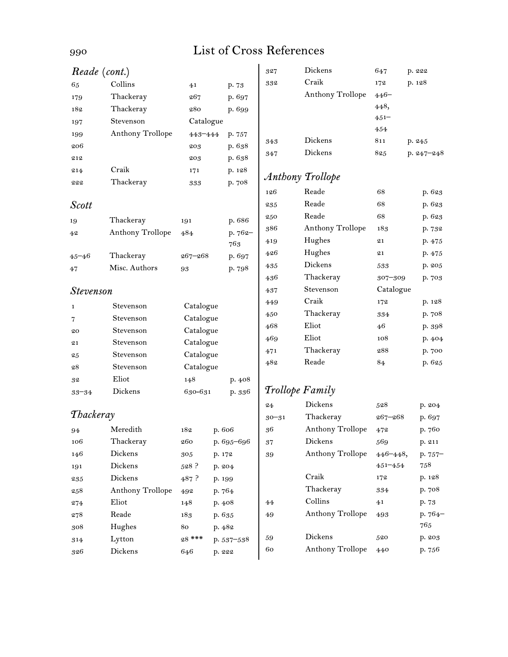| Reade (cont.)    |                         |                |        |            | 327       | Dickens          | 647            | p. 222         |
|------------------|-------------------------|----------------|--------|------------|-----------|------------------|----------------|----------------|
| 65               | Collins                 | 4 <sub>1</sub> |        | p. 73      | 332       | Craik            | 172            | p. 128         |
| 179              | Thackeray               | 267            |        | p. 697     |           | Anthony Trollope | $446 -$        |                |
| 182              | Thackeray               | 280            |        | p. 699     |           |                  | 448,           |                |
| 197              | Stevenson               | Catalogue      |        |            |           |                  | $451 -$        |                |
| 199              | <b>Anthony Trollope</b> | 443-444        |        | p. 757     |           |                  | 454            |                |
| 206              |                         | 203            |        | p. 638     | 343       | Dickens          | 811            | p. 245         |
| 212              |                         | 203            |        | p. 638     | 347       | Dickens          | 825            | p. $247 - 248$ |
| 214              | Craik                   | 171            |        | p. 128     |           |                  |                |                |
| 222              | Thackeray               | 333            |        | p. 708     |           | Anthony Trollope |                |                |
|                  |                         |                |        |            | 126       | Reade            | 68             | p. 623         |
| <b>Scott</b>     |                         |                |        |            | 235       | Reade            | 68             | p. 623         |
| 19               | Thackeray               | 191            |        | p. 686     | 250       | Reade            | 68             | p. 623         |
| 42               | Anthony Trollope        | 484            |        | p. 762-    | 386       | Anthony Trollope | 183            | p. 732         |
|                  |                         |                |        | 763        | 419       | Hughes           | 21             | p. 475         |
| $45 - 46$        | Thackeray               | $267 - 268$    |        | p. 697     | 426       | Hughes           | 21             | p. 475         |
| 47               | Misc. Authors           | 93             |        | p. 798     | 435       | Dickens          | 533            | p. 205         |
|                  |                         |                |        |            | 436       | Thackeray        | 307-309        | p. 703         |
| <b>Stevenson</b> |                         |                | 437    | Stevenson  | Catalogue |                  |                |                |
| 1                | Stevenson               | Catalogue      |        |            | 449       | Craik            | 172            | p. 128         |
| 7                | Stevenson               | Catalogue      |        |            | 450       | Thackeray        | 334            | p. 708         |
| 20               | Stevenson               | Catalogue      |        |            | 468       | Eliot            | 46             | p. 398         |
| 21               | Stevenson               | Catalogue      |        |            | 469       | Eliot            | 108            | p. 404         |
| 25               | Stevenson               | Catalogue      |        |            | 471       | Thackeray        | 288            | p. 700         |
| 28               | Stevenson               | Catalogue      |        |            | 482       | Reade            | 84             | p. 625         |
| 32               | Eliot                   | 148            |        | p. 408     |           |                  |                |                |
| $33 - 34$        | Dickens                 | 630-631        |        | p. 336     |           | Trollope Family  |                |                |
|                  |                         |                |        |            | 24        | Dickens          | 528            | p. 204         |
| Thackeray        |                         |                |        |            | $30 - 31$ | Thackeray        | $267 - 268$    | p. 697         |
| 94               | Meredith                | 182            | p. 606 |            | 36        | Anthony Trollope | 472            | p. 760         |
| 106              | Thackeray               | 260            |        | p. 695-696 | 37        | Dickens          | 569            | p. 211         |
| 146              | Dickens                 | 305            | p. 172 |            | 39        | Anthony Trollope | $446 - 448,$   | p. 757-        |
| 191              | Dickens                 | 528 ?          | p. 204 |            |           |                  | $451 - 454$    | 758            |
| 235              | Dickens                 | 487 ?          | p. 199 |            |           | Craik            | 172            | p. 128         |
| 258              | <b>Anthony Trollope</b> | 492            | p. 764 |            |           | Thackeray        | 334            | p. 708         |
| 274              | Eliot                   | 148            | p. 408 |            | 44        | Collins          | 4 <sub>1</sub> | p. 73          |
| 278              | Reade                   | 183            | p. 635 |            | 49        | Anthony Trollope | 493            | p. 764-        |
| 308              | Hughes                  | 80             | p. 482 |            |           |                  |                | 765            |
| 314              | Lytton                  | 28 ***         |        | p. 537-538 | 59        | Dickens          | 520            | p. 203         |
| 326              | Dickens                 | 646            | p. 222 |            | 60        | Anthony Trollope | 440            | p. 756         |
|                  |                         |                |        |            |           |                  |                |                |